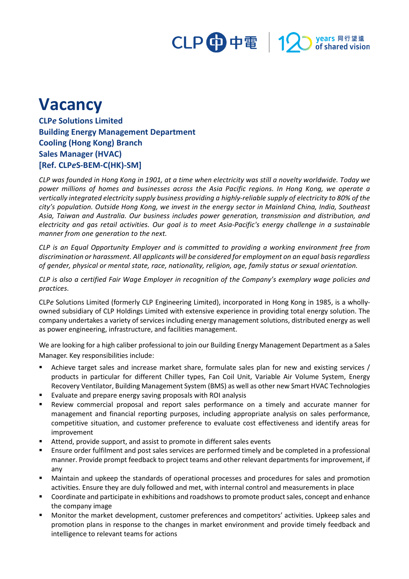

## **Vacancy**

**CLP***e* **Solutions Limited Building Energy Management Department Cooling (Hong Kong) Branch Sales Manager (HVAC) [Ref. CLP***e***S-BEM-C(HK)-SM]**

*CLP was founded in Hong Kong in 1901, at a time when electricity was still a novelty worldwide. Today we power millions of homes and businesses across the Asia Pacific regions. In Hong Kong, we operate a vertically integrated electricity supply business providing a highly-reliable supply of electricity to 80% of the city's population. Outside Hong Kong, we invest in the energy sector in Mainland China, India, Southeast Asia, Taiwan and Australia. Our business includes power generation, transmission and distribution, and electricity and gas retail activities. Our goal is to meet Asia-Pacific's energy challenge in a sustainable manner from one generation to the next.*

*CLP is an Equal Opportunity Employer and is committed to providing a working environment free from discrimination or harassment. All applicants will be considered for employment on an equal basis regardless of gender, physical or mental state, race, nationality, religion, age, family status or sexual orientation.*

*CLP is also a certified Fair Wage Employer in recognition of the Company's exemplary wage policies and practices.*

CLP*e* Solutions Limited (formerly CLP Engineering Limited), incorporated in Hong Kong in 1985, is a whollyowned subsidiary of CLP Holdings Limited with extensive experience in providing total energy solution. The company undertakes a variety of services including energy management solutions, distributed energy as well as power engineering, infrastructure, and facilities management.

We are looking for a high caliber professional to join our Building Energy Management Department as a Sales Manager. Key responsibilities include:

- Achieve target sales and increase market share, formulate sales plan for new and existing services / products in particular for different Chiller types, Fan Coil Unit, Variable Air Volume System, Energy Recovery Ventilator, Building Management System (BMS) as well as other new Smart HVAC Technologies
- **EValuate and prepare energy saving proposals with ROI analysis**
- Review commercial proposal and report sales performance on a timely and accurate manner for management and financial reporting purposes, including appropriate analysis on sales performance, competitive situation, and customer preference to evaluate cost effectiveness and identify areas for improvement
- Attend, provide support, and assist to promote in different sales events
- Ensure order fulfilment and post sales services are performed timely and be completed in a professional manner. Provide prompt feedback to project teams and other relevant departments for improvement, if any
- Maintain and upkeep the standards of operational processes and procedures for sales and promotion activities. Ensure they are duly followed and met, with internal control and measurements in place
- Coordinate and participate in exhibitions and roadshowsto promote product sales, concept and enhance the company image
- Monitor the market development, customer preferences and competitors' activities. Upkeep sales and promotion plans in response to the changes in market environment and provide timely feedback and intelligence to relevant teams for actions